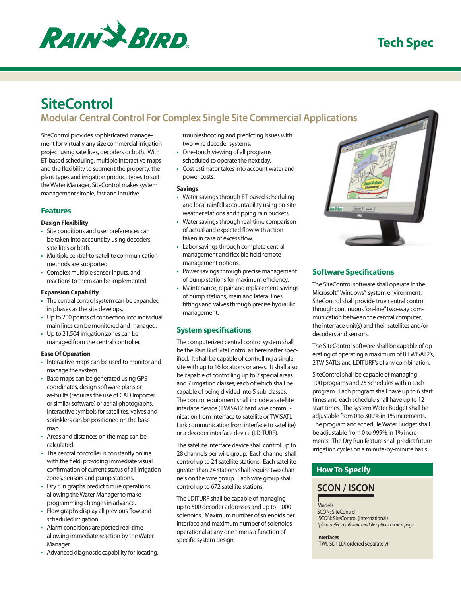

# **Tech Spec**

# **SiteControl**

**Modular Central Control For Complex Single Site Commercial Applications**

SiteControl provides sophisticated management for virtually any size commercial irrigation project using satellites, decoders or both. With ET-based scheduling, multiple interactive maps and the flexibility to segment the property, the plant types and irrigation product types to suit the Water Manager, SiteControl makes system management simple, fast and intuitive.

## **Features**

#### **Design Flexibility**

- • Site conditions and user preferences can be taken into account by using decoders, satellites or both.
- • Multiple central-to-satellite communication methods are supported.
- • Complex multiple sensor inputs, and reactions to them can be implemented.

#### **Expansion Capability**

- The central control system can be expanded in phases as the site develops.
- Up to 200 points of connection into individual main lines can be monitored and managed.
- Up to 21,504 irrigation zones can be managed from the central controller.

#### **Ease Of Operation**

- Interactive maps can be used to monitor and manage the system.
- • Base maps can be generated using GPS coordinates, design software plans or as-builts (requires the use of CAD Importer or similar software) or aerial photographs. Interactive symbols for satellites, valves and sprinklers can be positioned on the base map.
- Areas and distances on the map can be calculated.
- The central controller is constantly online with the field, providing immediate visual confirmation of current status of all irrigation zones, sensors and pump stations.
- Dry run graphs predict future operations allowing theWater Manager to make programming changes in advance.
- Flow graphs display all previous flow and scheduled irrigation.
- • Alarm conditions are posted real-time allowing immediate reaction by theWater Manager.
- • Advanced diagnostic capability for locating,

troubleshooting and predicting issues with two-wire decoder systems.

- One-touch viewing of all programs scheduled to operate the next day.
- Cost estimator takes into account water and power costs.

#### **Savings**

- Water savings through ET-based scheduling and local rainfall accountability using on-site weather stations and tipping rain buckets.
- Water savings through real-time comparison of actual and expected flow with action taken in case of excess flow.
- Labor savings through complete central management and flexible field remote management options.
- Power savings through precise management of pump stations for maximum efficiency.
- Maintenance, repair and replacement savings of pump stations, main and lateral lines, fittings and valves through precise hydraulic management.

## **System specifications**

The computerized central control system shall be the Rain Bird SiteControl as hereinafter specified. It shall be capable of controlling a single site with up to 16 locations or areas. It shall also be capable of controlling up to 7 special areas and 7 irrigation classes, each of which shall be capable of being divided into 5 sub-classes. The control equipment shall include a satellite interface device (TWISAT2 hard wire communication from interface to satellite or TWISATL Link communication from interface to satellite) or a decoder interface device (LDITURF).

The satellite interface device shall control up to 28 channels per wire group. Each channel shall control up to 24 satellite stations. Each satellite greater than 24 stations shall require two channels on the wire group. Each wire group shall control up to 672 satellite stations.

The LDITURF shall be capable of managing up to 500 decoder addresses and up to 1,000 solenoids. Maximum number of solenoids per interface and maximum number of solenoids operational at any one time is a function of specific system design.



## **Software Specifications**

The SiteControl software shall operate in the Microsoft®Windows® system environment. SiteControl shall provide true central control through continuous"on-line"two-way communication between the central computer, the interface unit(s) and their satellites and/or decoders and sensors.

The SiteControl software shall be capable of operating of operating a maximum of 8 TWISAT2's, 2TWISATL's and LDITURF's of any combination.

SiteControl shall be capable of managing 100 programs and 25 schedules within each program. Each program shall have up to 6 start times and each schedule shall have up to 12 start times. The system Water Budget shall be adjustable from 0 to 300% in 1% increments. The program and schedule Water Budget shall be adjustable from 0 to 999% in 1% increments. The Dry Run feature shall predict future irrigation cycles on a minute-by-minute basis.

## **How To Specify**

## **SCON / ISCON**

**Models** SCON: SiteControl ISCON: SiteControl (International) *\*please refer to software module options on next page*

**Interfaces** (TWI, SDI, LDI ordered separately)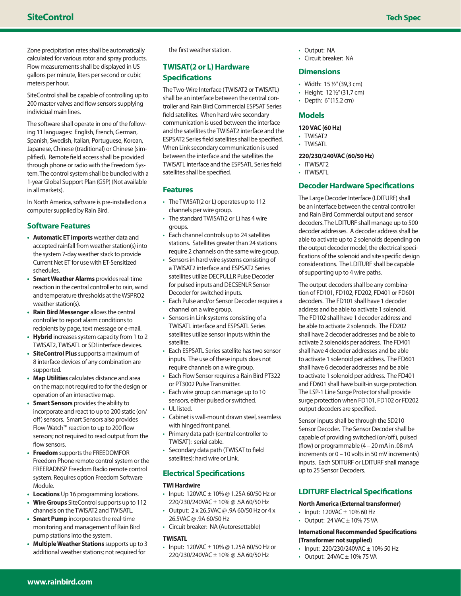Zone precipitation rates shall be automatically calculated for various rotor and spray products. Flow measurements shall be displayed in US gallons per minute, liters per second or cubic meters per hour.

SiteControl shall be capable of controlling up to 200 master valves and flow sensors supplying individual main lines.

The software shall operate in one of the following 11 languages: English, French, German, Spanish, Swedish, Italian, Portuguese, Korean, Japanese, Chinese (traditional) or Chinese (simplified). Remote field access shall be provided through phone or radio with the Freedom System. The control system shall be bundled with a 1-year Global Support Plan (GSP) (Not available in all markets).

In North America, software is pre-installed on a computer supplied by Rain Bird.

## **Software Features**

- **• Automatic ET imports** weather data and accepted rainfall from weather station(s) into the system 7-day weather stack to provide Current Net ET for use with ET-Sensitized schedules.
- **Smart Weather Alarms** provides real-time reaction in the central controller to rain, wind and temperature thresholds at theWSPRO2 weather station(s).
- **Rain Bird Messenger** allows the central controller to report alarm conditions to recipients by page, text message or e-mail.
- Hybrid increases system capacity from 1 to 2 TWISAT2, TWISATL or SDI interface devices.
- **• SiteControl Plus** supports a maximum of 8 interface devices of any combination are supported.
- **• Map Utilities** calculates distance and area on the map; not required to for the design or operation of an interactive map.
- **Smart Sensors** provides the ability to incorporate and react to up to 200 static (on/ off) sensors. Smart Sensors also provides Flow-Watch™ reaction to up to 200 flow sensors; not required to read output from the flow sensors.
- **Freedom** supports the FREEDOMFOR Freedom Phone remote control system or the FREERADNSP Freedom Radio remote control system. Requires option Freedom Software Module.
- **• Locations** Up 16 programming locations.
- Wire Groups SiteControl supports up to 112 channels on the TWISAT2 andTWISATL.
- **Smart Pump** incorporates the real-time monitoring and management of Rain Bird pump stations into the system.
- **• Multiple Weather Stations** supports up to 3 additional weather stations; not required for

the first weather station.

## **TWISAT(2 or L) Hardware Specifications**

The Two-Wire Interface (TWISAT2 or TWISATL) shall be an interface between the central controller and Rain Bird Commercial ESPSAT Series field satellites. When hard wire secondary communication is used between the interface and the satellites the TWISAT2 interface and the ESPSAT2 Series field satellites shall be specified. When Link secondary communication is used between the interface and the satellites the TWISATL interface and the ESPSATL Series field satellites shall be specified.

#### **Features**

- The TWISAT(2 or L) operates up to 112 channels per wire group.
- The standard TWISAT(2 or L) has 4 wire groups.
- • Each channel controls up to 24 satellites stations. Satellites greater than 24 stations require 2 channels on the same wire group.
- Sensors in hard wire systems consisting of a TWISAT2 interface and ESPSAT2 Series satellites utilize DECPULLR Pulse Decoder for pulsed inputs and DECSENLR Sensor Decoder for switched inputs.
- • Each Pulse and/or Sensor Decoder requires a channel on a wire group.
- Sensors in Link systems consisting of a TWISATL interface and ESPSATL Series satellites utilize sensor inputs within the satellite.
- Each ESPSATL Series satellite has two sensor inputs. The use of these inputs does not require channels on a wire group.
- • Each Flow Sensor requires a Rain Bird PT322 or PT3002 Pulse Transmitter.
- • Each wire group can manage up to 10 sensors, either pulsed or switched.
- • UL listed.
- Cabinet is wall-mount drawn steel, seamless with hinged front panel.
- • Primary data path (central controller to TWISAT): serial cable.
- • Secondary data path (TWISAT to field satellites): hard wire or Link.

## **Electrical Specifications**

#### **TWI Hardwire**

- Input:  $120\sqrt{AC} \pm 10\%$  @ 1.25A 60/50 Hz or 220/230/240VAC ± 10% @ .5A 60/50 Hz
- • Output: 2 x 26.5VAC @ .9A 60/50 Hz or 4 x 26.5VAC @ .9A 60/50 Hz
- • Circuit breaker: NA (Autoresettable)

#### **TWISATL**

• Input:  $120\text{VAC} \pm 10\%$  @ 1.25A 60/50 Hz or 220/230/240VAC ± 10% @ .5A 60/50 Hz

- • Output: NA
- • Circuit breaker: NA

#### **Dimensions**

- Width: 15 1/2" (39.3 cm)
- Height: 12 1/2" (31,7 cm)
- Depth: 6"(15,2 cm)

## **Models**

#### **120 VAC (60 Hz)**

- TWISAT2
- TWISATL

#### **220/230/240VAC (60/50 Hz)**

- ITWISAT2
- ITWISATL

## **Decoder Hardware Specifications**

The Large Decoder Interface (LDITURF) shall be an interface between the central controller and Rain Bird Commercial output and sensor decoders. The LDITURF shall manage up to 500 decoder addresses. A decoder address shall be able to activate up to 2 solenoids depending on the output decoder model, the electrical specifications of the solenoid and site specific design considerations. The LDITURF shall be capable of supporting up to 4 wire paths.

The output decoders shall be any combination of FD101, FD102, FD202, FD401 or FD601 decoders. The FD101 shall have 1 decoder address and be able to activate 1 solenoid. The FD102 shall have 1 decoder address and be able to activate 2 solenoids. The FD202 shall have 2 decoder addresses and be able to activate 2 solenoids per address. The FD401 shall have 4 decoder addresses and be able to activate 1 solenoid per address. The FD601 shall have 6 decoder addresses and be able to activate 1 solenoid per address. The FD401 and FD601 shall have built-in surge protection. The LSP-1 Line Surge Protector shall provide surge protection when FD101, FD102 or FD202 output decoders are specified.

Sensor inputs shall be through the SD210 Sensor Decoder. The Sensor Decoder shall be capable of providing switched (on/off), pulsed (flow) or programmable (4 – 20 mA in .08 mA increments or  $0 - 10$  volts in 50 mV increments) inputs. Each SDITURF or LDITURF shall manage up to 25 Sensor Decoders.

#### **LDITURF Electrical Specifications**

#### **North America (External transformer)**

- Input:  $120\text{VAC} \pm 10\%$  60 Hz
- Output:  $24$  VAC  $\pm$  10% 75 VA

#### **International Recommended Specifications (Transformer not supplied)**

- Input:  $220/230/240$ VAC  $\pm$  10% 50 Hz
- Output:  $24VAC \pm 10\%$  75 VA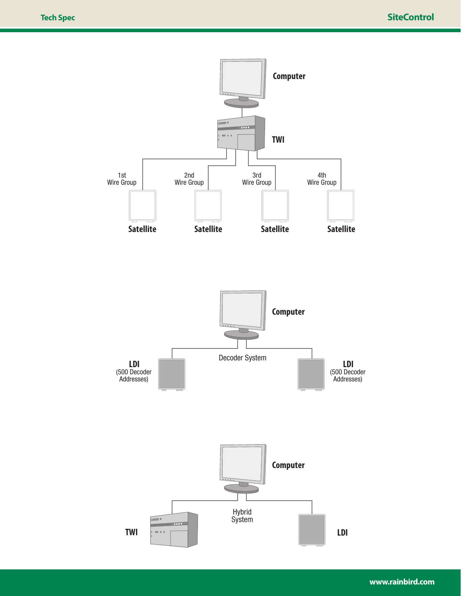